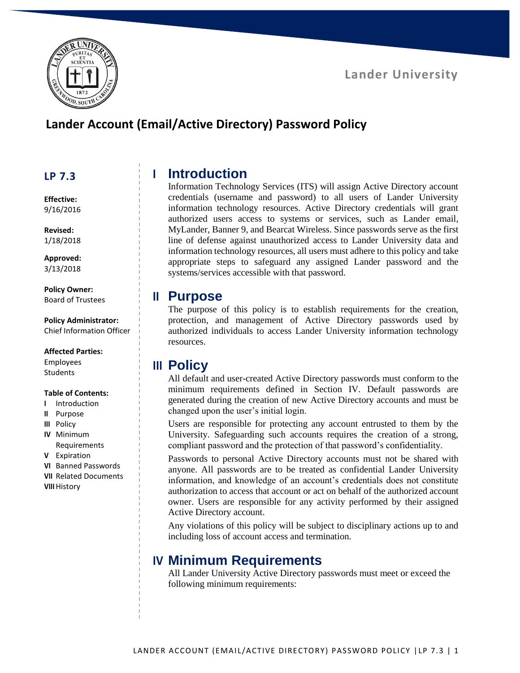

### **Lander University**

# **Lander Account (Email/Active Directory) Password Policy**

#### **LP 7.3**

**Effective:** 9/16/2016

**Revised:** 1/18/2018

**Approved:** 3/13/2018

**Policy Owner:** Board of Trustees

**Policy Administrator:** Chief Information Officer

#### **Affected Parties:**

Employees **Students** 

#### **Table of Contents:**

- **I** Introduction
- **II** Purpose
- **III** Policy
- **IV** Minimum Requirements
- **V** Expiration
- **VI** Banned Passwords
- **VII** Related Documents
- **VIII**History

## **I Introduction**

Information Technology Services (ITS) will assign Active Directory account credentials (username and password) to all users of Lander University information technology resources. Active Directory credentials will grant authorized users access to systems or services, such as Lander email, MyLander, Banner 9, and Bearcat Wireless. Since passwords serve as the first line of defense against unauthorized access to Lander University data and information technology resources, all users must adhere to this policy and take appropriate steps to safeguard any assigned Lander password and the systems/services accessible with that password.

#### **II Purpose**

The purpose of this policy is to establish requirements for the creation, protection, and management of Active Directory passwords used by authorized individuals to access Lander University information technology resources.

### **III Policy**

All default and user-created Active Directory passwords must conform to the minimum requirements defined in Section IV. Default passwords are generated during the creation of new Active Directory accounts and must be changed upon the user's initial login.

Users are responsible for protecting any account entrusted to them by the University. Safeguarding such accounts requires the creation of a strong, compliant password and the protection of that password's confidentiality.

Passwords to personal Active Directory accounts must not be shared with anyone. All passwords are to be treated as confidential Lander University information, and knowledge of an account's credentials does not constitute authorization to access that account or act on behalf of the authorized account owner. Users are responsible for any activity performed by their assigned Active Directory account.

Any violations of this policy will be subject to disciplinary actions up to and including loss of account access and termination.

## **IV Minimum Requirements**

All Lander University Active Directory passwords must meet or exceed the following minimum requirements: